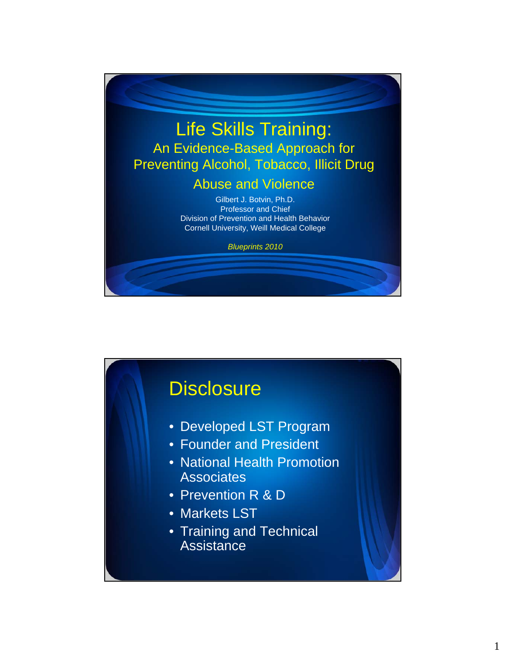

# **Disclosure** • Developed LST Program • Founder and President • National Health Promotion **Associates** • Prevention R & D • Markets LST • Training and Technical **Assistance**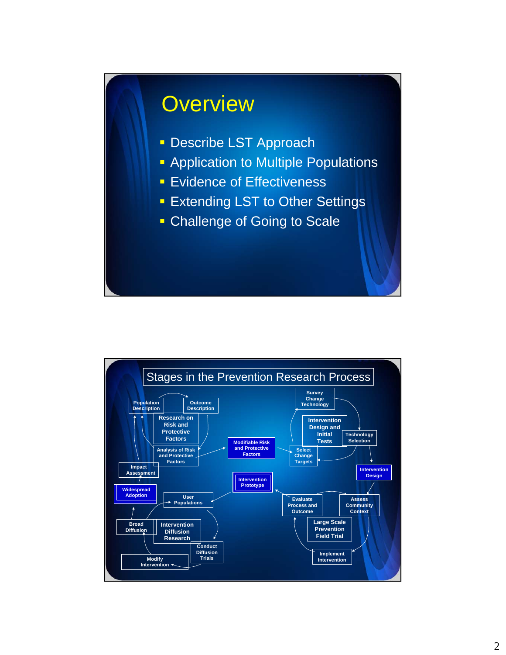# **Overview**

- **Describe LST Approach**
- **Application to Multiple Populations**
- **Evidence of Effectiveness**
- **Extending LST to Other Settings**
- **Challenge of Going to Scale**

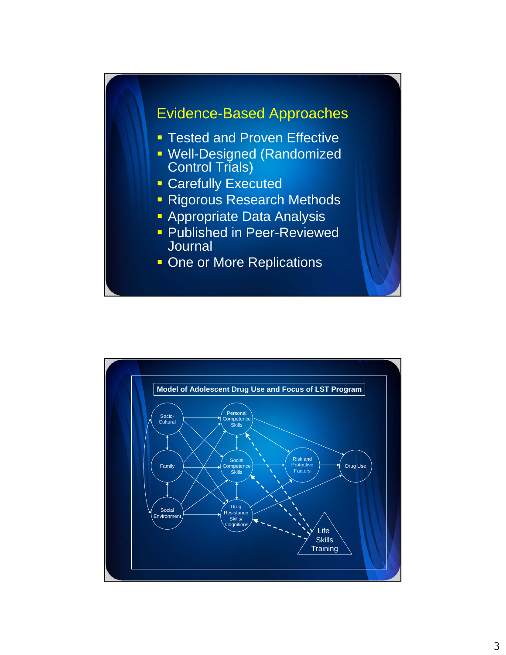

- Control Trials)
- **Carefully Executed**
- **Rigorous Research Methods**
- **Appropriate Data Analysis**
- **Published in Peer-Reviewed Journal**
- **One or More Replications**

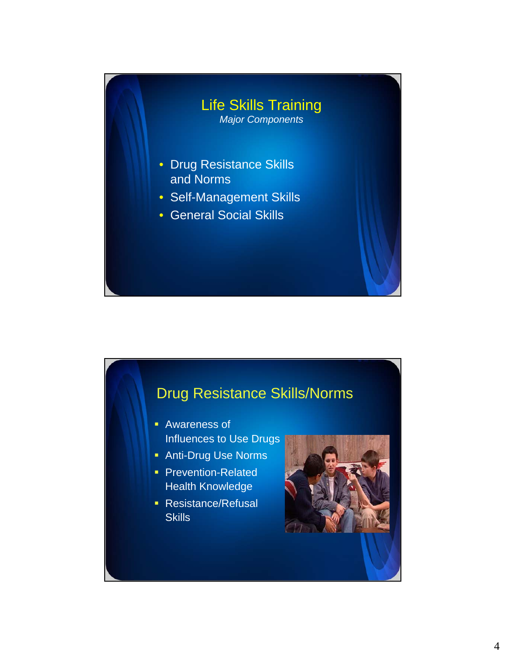

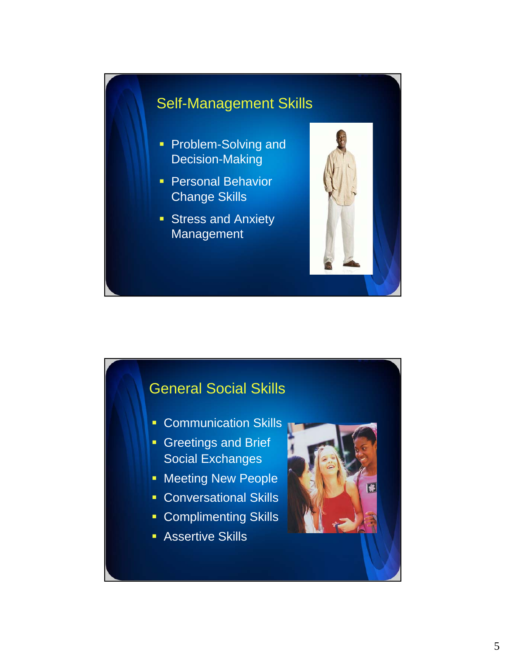### Self-Management Skills

- Problem-Solving and Decision-Making
- **Personal Behavior** Change Skills
- **Stress and Anxiety** Management



### General Social Skills

- **Communication Skills**
- **Greetings and Brief** Social Exchanges
- **Meeting New People**
- **Conversational Skills**
- **Complimenting Skills**
- **Assertive Skills**

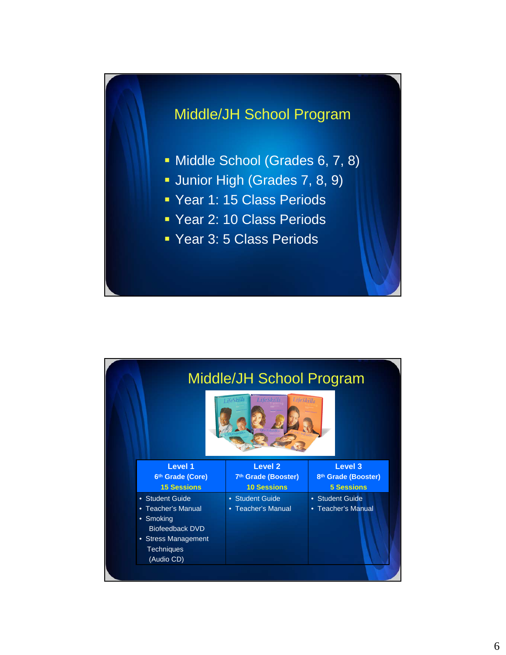

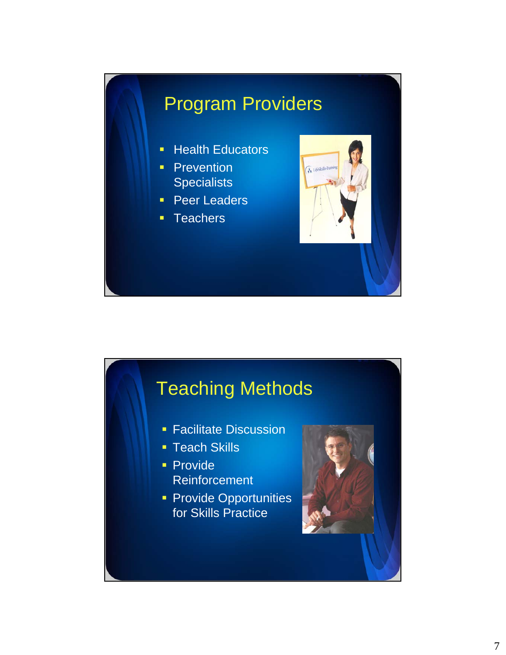# Program Providers

- **Health Educators**
- **Prevention Specialists**
- **Peer Leaders**
- **Teachers**



# Teaching Methods

- **Facilitate Discussion**
- **Teach Skills**
- **Provide** Reinforcement
- **Provide Opportunities** for Skills Practice

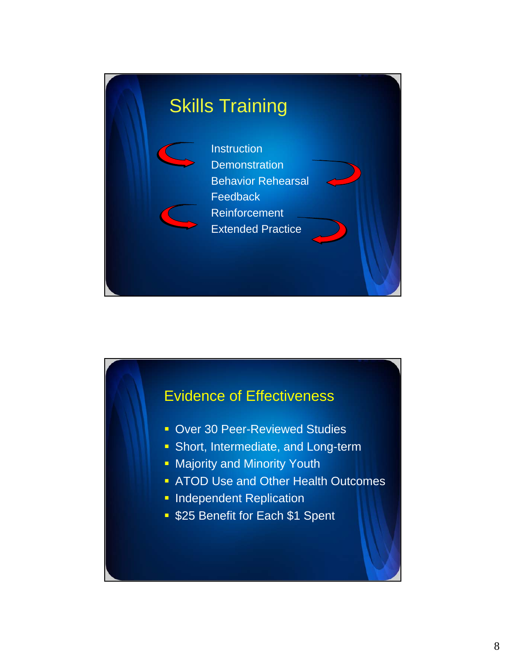

### Evidence of Effectiveness

- **Dover 30 Peer-Reviewed Studies**
- **Short, Intermediate, and Long-term**
- **Majority and Minority Youth**
- **ATOD Use and Other Health Outcomes**
- **Independent Replication**
- **525 Benefit for Each \$1 Spent**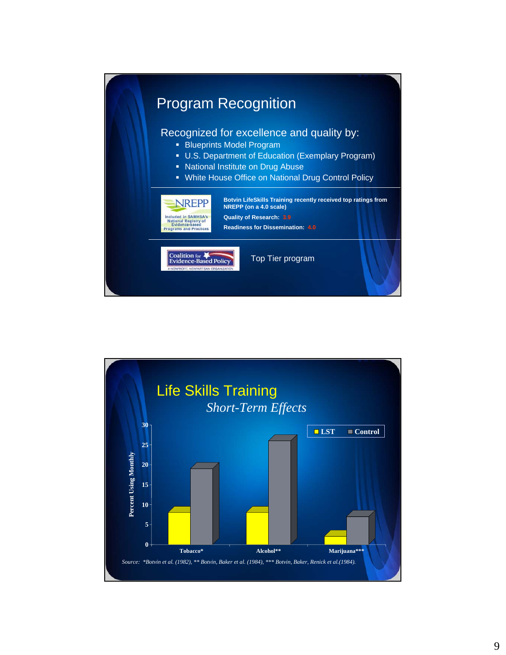

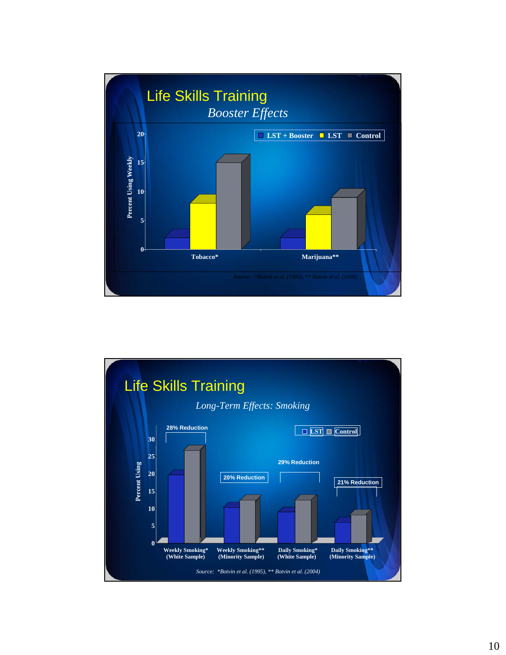

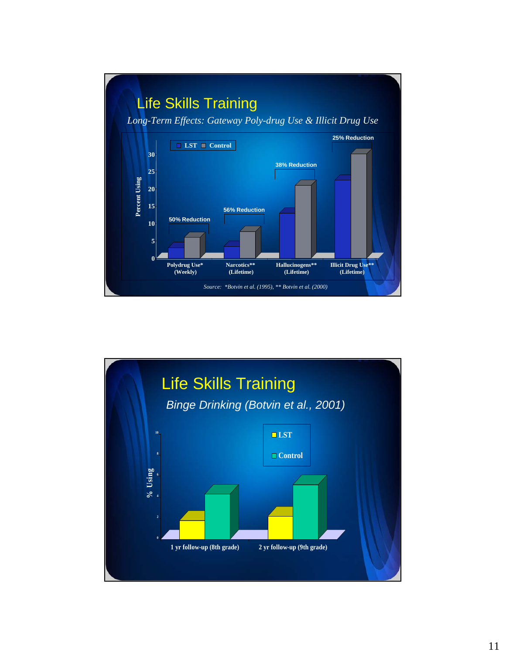

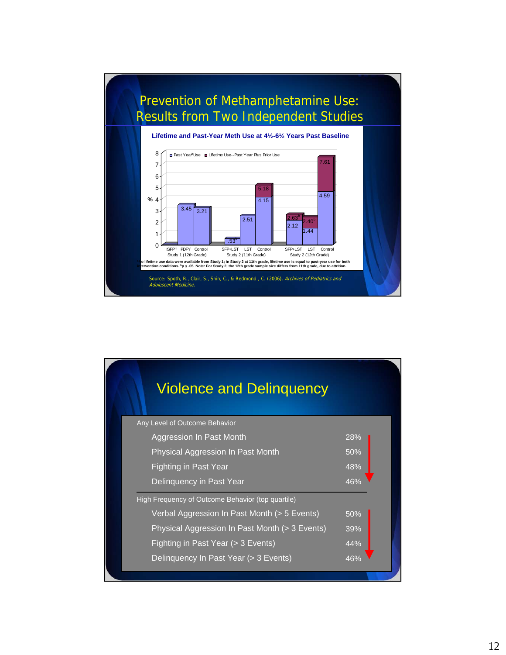

| <b>Violence and Delinguency</b>                   |     |
|---------------------------------------------------|-----|
| Any Level of Outcome Behavior                     |     |
| Aggression In Past Month                          | 28% |
| Physical Aggression In Past Month                 | 50% |
| <b>Fighting in Past Year</b>                      | 48% |
| Delinquency in Past Year                          | 46% |
| High Frequency of Outcome Behavior (top quartile) |     |
| Verbal Aggression In Past Month (> 5 Events)      | 50% |
| Physical Aggression In Past Month (> 3 Events)    | 39% |
| Fighting in Past Year (> 3 Events)                | 44% |
| Delinguency In Past Year (> 3 Events)             | 46% |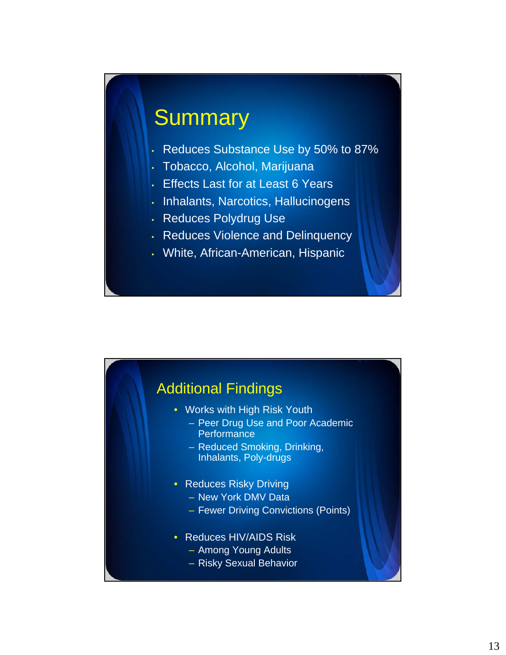# **Summary**

- Reduces Substance Use by 50% to 87%
- Tobacco, Alcohol, Marijuana
- **Effects Last for at Least 6 Years**
- Inhalants, Narcotics, Hallucinogens
- Reduces Polydrug Use
- Reduces Violence and Delinquency
- White, African-American, Hispanic

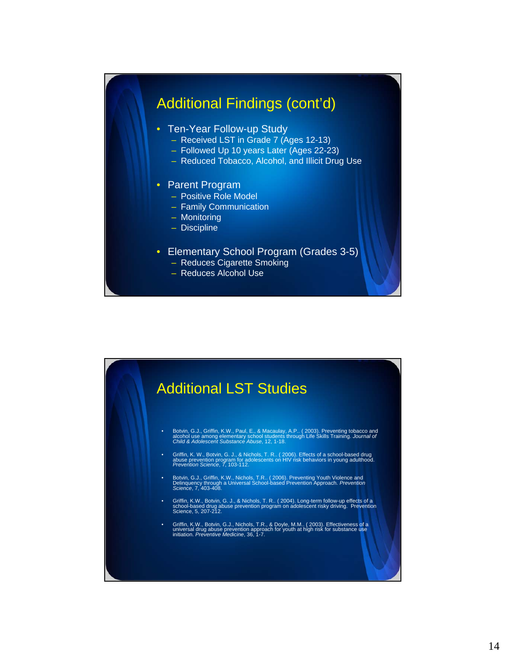### Additional Findings (cont'd)

- Ten-Year Follow-up Study
	- Received LST in Grade 7 (Ages 12-13)
	- Followed Up 10 years Later (Ages 22-23)
	- Reduced Tobacco, Alcohol, and Illicit Drug Use

#### • Parent Program

- Positive Role Model
- Family Communication
- Monitoring
- Discipline
- Elementary School Program (Grades 3-5)
	- Reduces Cigarette Smoking
	- Reduces Alcohol Use



- Botvin, G.J., Griffin, K.W., Paul, E., & Macaulay, A.P.. ( 2003). Preventing tobacco and<br>alcohol use among elementary school students through Life Skills Training. *Journal of*<br>Ch*ild & Adolescent Substance Abuse*, 12, 1
- Griffin, K. W., Botvin, G. J., & Nichols, T. R.. ( 2006). Effects of a school-based drug abuse prevention program for adolescents on HIV risk behaviors in young adulthood. *Prevention Science*, 7, 103-112.
- Botvin, G.J., Griffin, K.W., Nichols, T.R.. ( 2006). Preventing Youth Violence and Delinquency through a Universal School-based Prevention Approach. *Prevention Science*, 7, 403-408.
- Griffin, K.W., Botvin, G. J., & Nichols, T. R.. ( 2004). Long-term follow-up effects of a school-based drug abuse prevention program on adolescent risky driving. Prevention Science, 5, 207-212.
- Griffin, K.W., Botvin, G.J., Nichols, T.R., & Doyle, M.M.. ( 2003). Effectiveness of a universal drug abuse prevention approach for youth at high risk for substance use initiation. *Preventive Medicine*, 36, 1-7.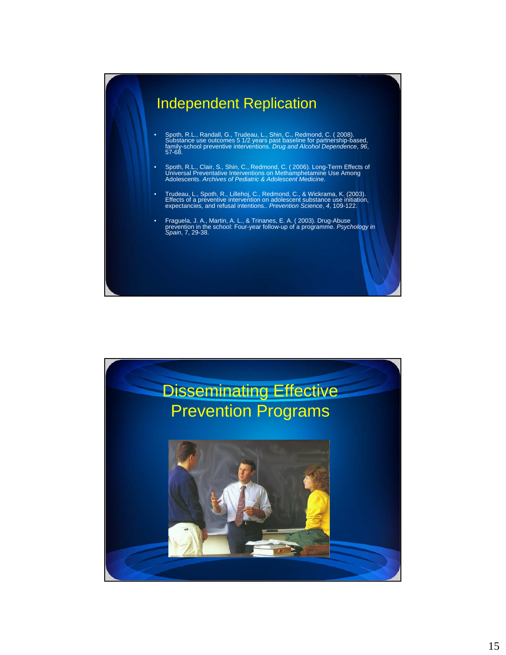# Independent Replication • Spoth, R.L., Randall, G., Trudeau, L., Shin, C., Redmond, C. (2008).<br>Substance use outcomes 5 1/2 years past baseline for partnership-based,<br>family-school preventive interventions. *Drug and Alcohol Dependence*, 96,<br>57-6 • Spoth, R.L., Clair, S., Shin, C., Redmond, C. ( 2006). Long-Term Effects of Universal Preventative Interventions on Methamphetamine Use Among Adolescents. *Archives of Pediatric & Adolescent Medicine.*  • Trudeau, L., Spoth, R., Lillehoj, C., Redmond, C., & Wickrama, K. (2003).<br>Effects of a preventive intervention on adolescent substance use initiation,<br>expectancies, and refusal intentions.. Prevention Science, 4, 109-122 • Fraguela, J. A., Martin, A. L., & Trinanes, E. A. ( 2003). Drug-Abuse prevention in the school: Four-year follow-up of a programme. *Psychology in Spain*, 7, 29-38.

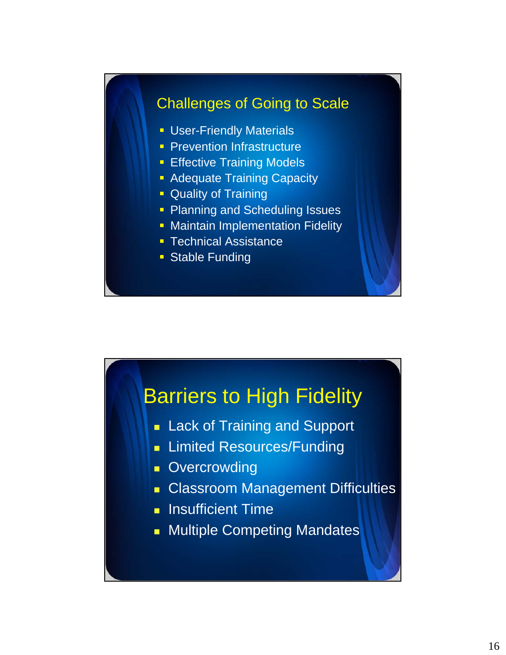### Challenges of Going to Scale

- **User-Friendly Materials**
- **Prevention Infrastructure**
- **Effective Training Models**
- **Adequate Training Capacity**
- **Quality of Training**
- Planning and Scheduling Issues
- **Maintain Implementation Fidelity**
- **Technical Assistance**
- **Stable Funding**

### Barriers to High Fidelity

- **Lack of Training and Support**
- **Limited Resources/Funding**
- **Overcrowding**
- **Classroom Management Difficulties**
- **Insufficient Time**
- **Multiple Competing Mandates**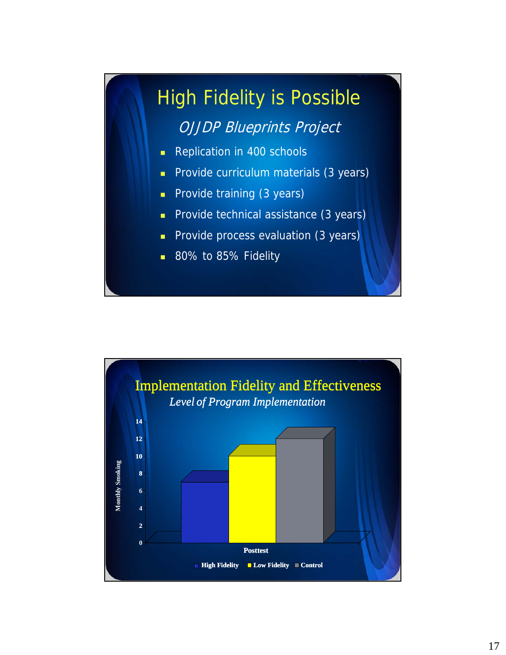# High Fidelity is Possible OJJDP Blueprints Project

- Replication in 400 schools
- **Provide curriculum materials (3 years)**
- **Provide training (3 years)**
- **Provide technical assistance (3 years)**
- **Provide process evaluation (3 years)**
- 80% to 85% Fidelity

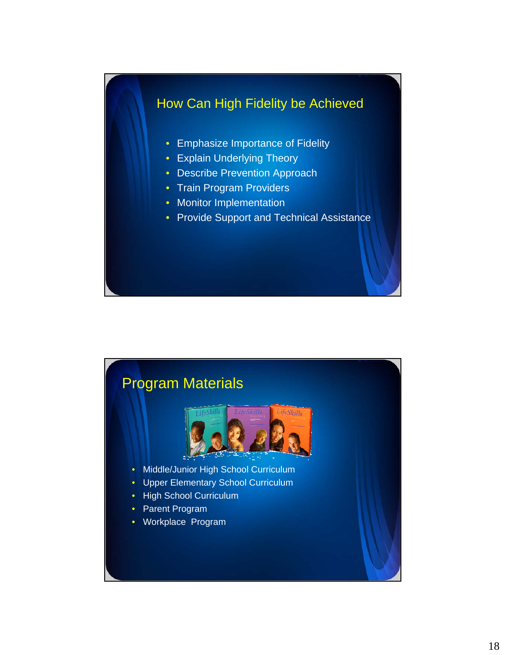### How Can High Fidelity be Achieved

- Emphasize Importance of Fidelity
- Explain Underlying Theory
- Describe Prevention Approach
- Train Program Providers
- Monitor Implementation
- Provide Support and Technical Assistance

### Program Materials



- Middle/Junior High School Curriculum
- Upper Elementary School Curriculum
- High School Curriculum
- Parent Program
- Workplace Program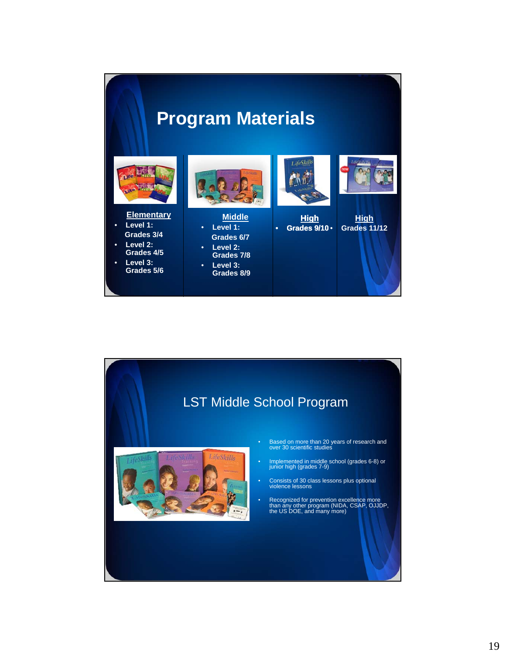### **Program Materials**



#### **Elementary**

- **Level 1: Grades 3/4**
- **Level 2: Grades 4/5**
- **Level 3: Grades 5/6**



#### **Middle** • **Level 1: Grades 6/7**

- **Level 2: Grades 7/8** • **Level 3:**
- **Grades 8/9**





**High** • **Grades 9/10**

**High** • **Grades 11/12**

#### LST Middle School Program



- Based on more than 20 years of research and over 30 scientific studies
- Implemented in middle school (grades 6-8) or junior high (grades 7-9)
- Consists of 30 class lessons plus optional violence lessons
- Recognized for prevention excellence more than any other program (NIDA, CSAP, OJJDP, the US DOE, and many more)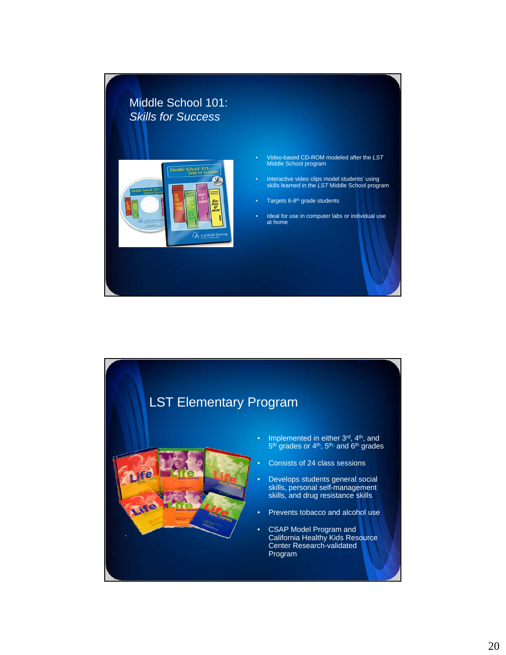

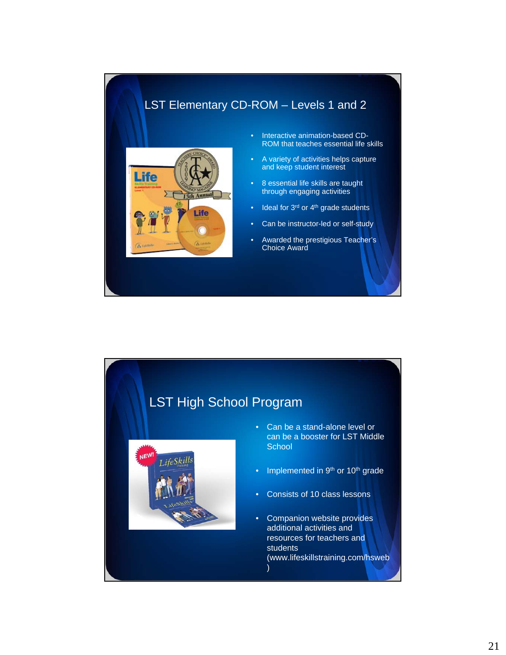#### LST Elementary CD-ROM – Levels 1 and 2



- Interactive animation-based CD-ROM that teaches essential life skills
- A variety of activities helps capture and keep student interest
- 8 essential life skills are taught through engaging activities
- Ideal for 3<sup>rd</sup> or 4<sup>th</sup> grade students
- Can be instructor-led or self-study
- Awarded the prestigious Teacher's Choice Award

#### LST High School Program



- Can be a stand-alone level or can be a booster for LST Middle **School**
- Implemented in 9<sup>th</sup> or 10<sup>th</sup> grade
- Consists of 10 class lessons
- Companion website provides additional activities and resources for teachers and students (www.lifeskillstraining.com/hsweb )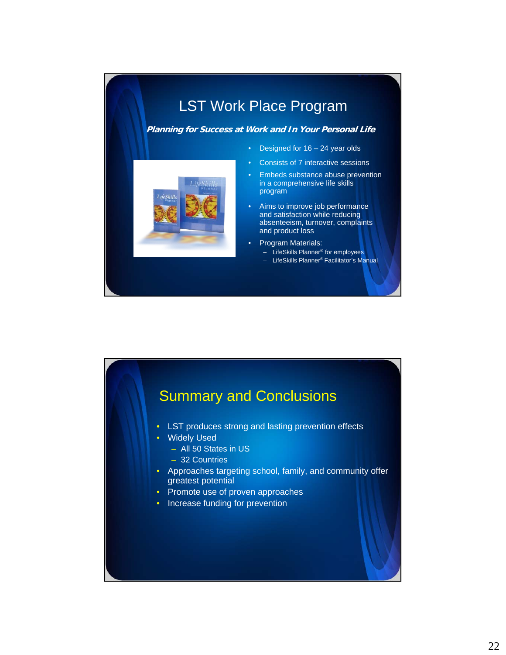### LST Work Place Program

#### **Planning for Success at Work and In Your Personal Life**

- 
- Designed for  $16 24$  year olds
- Consists of 7 interactive sessions
- Embeds substance abuse prevention in a comprehensive life skills program
- Aims to improve job performance and satisfaction while reducing absenteeism, turnover, complaints and product loss
- Program Materials:
	- LifeSkills Planner® for employees – LifeSkills Planner® Facilitator's Manual

- Summary and Conclusions • LST produces strong and lasting prevention effects • Widely Used – All 50 States in US – 32 Countries • Approaches targeting school, family, and community offer greatest potential • Promote use of proven approaches
	- Increase funding for prevention